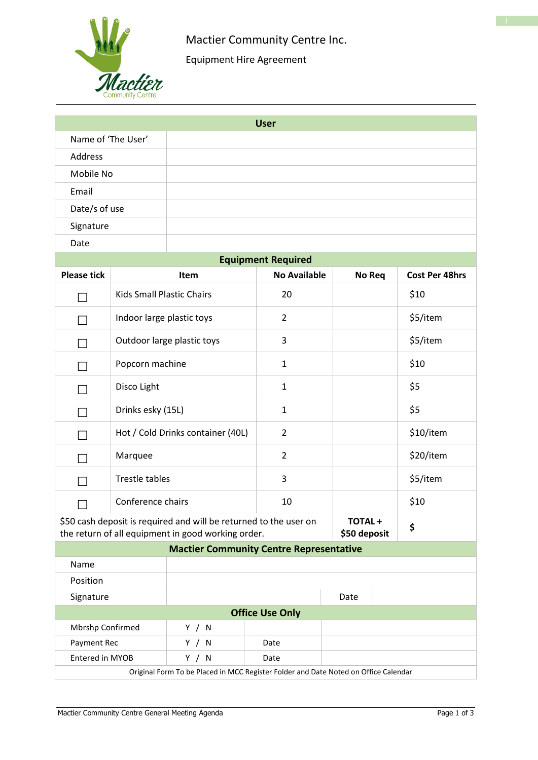

# Mactier Community Centre Inc.

Equipment Hire Agreement

| <b>User</b>                                                                         |                                   |                                                                                                                         |                     |                               |                       |  |  |
|-------------------------------------------------------------------------------------|-----------------------------------|-------------------------------------------------------------------------------------------------------------------------|---------------------|-------------------------------|-----------------------|--|--|
| Name of 'The User'                                                                  |                                   |                                                                                                                         |                     |                               |                       |  |  |
| Address                                                                             |                                   |                                                                                                                         |                     |                               |                       |  |  |
| Mobile No                                                                           |                                   |                                                                                                                         |                     |                               |                       |  |  |
| Email                                                                               |                                   |                                                                                                                         |                     |                               |                       |  |  |
| Date/s of use                                                                       |                                   |                                                                                                                         |                     |                               |                       |  |  |
| Signature                                                                           |                                   |                                                                                                                         |                     |                               |                       |  |  |
| Date                                                                                |                                   |                                                                                                                         |                     |                               |                       |  |  |
| <b>Equipment Required</b>                                                           |                                   |                                                                                                                         |                     |                               |                       |  |  |
| <b>Please tick</b>                                                                  |                                   | <b>Item</b>                                                                                                             | <b>No Available</b> | No Req                        | <b>Cost Per 48hrs</b> |  |  |
|                                                                                     | <b>Kids Small Plastic Chairs</b>  |                                                                                                                         | 20                  |                               | \$10                  |  |  |
|                                                                                     | Indoor large plastic toys         |                                                                                                                         | $\overline{2}$      |                               | \$5/item              |  |  |
|                                                                                     |                                   | Outdoor large plastic toys                                                                                              | 3                   |                               | \$5/item              |  |  |
|                                                                                     | Popcorn machine                   |                                                                                                                         | $\mathbf{1}$        |                               | \$10                  |  |  |
|                                                                                     | Disco Light                       |                                                                                                                         | $\mathbf{1}$        |                               | \$5                   |  |  |
|                                                                                     | Drinks esky (15L)                 |                                                                                                                         | $\mathbf{1}$        |                               | \$5                   |  |  |
|                                                                                     | Hot / Cold Drinks container (40L) |                                                                                                                         | $\overline{2}$      |                               | \$10/item             |  |  |
|                                                                                     | Marquee                           |                                                                                                                         | $\overline{2}$      |                               | \$20/item             |  |  |
|                                                                                     | Trestle tables                    |                                                                                                                         | 3                   |                               | \$5/item              |  |  |
|                                                                                     | Conference chairs                 |                                                                                                                         | 10                  |                               | \$10                  |  |  |
|                                                                                     |                                   | \$50 cash deposit is required and will be returned to the user on<br>the return of all equipment in good working order. |                     | <b>TOTAL+</b><br>\$50 deposit | \$                    |  |  |
| <b>Mactier Community Centre Representative</b>                                      |                                   |                                                                                                                         |                     |                               |                       |  |  |
| Name                                                                                |                                   |                                                                                                                         |                     |                               |                       |  |  |
| Position                                                                            |                                   |                                                                                                                         |                     |                               |                       |  |  |
| Signature                                                                           |                                   |                                                                                                                         |                     | Date                          |                       |  |  |
| <b>Office Use Only</b>                                                              |                                   |                                                                                                                         |                     |                               |                       |  |  |
| Mbrshp Confirmed                                                                    |                                   | Y / N                                                                                                                   |                     |                               |                       |  |  |
| Payment Rec<br>Entered in MYOB                                                      |                                   | Y / N<br>Y / N                                                                                                          | Date<br>Date        |                               |                       |  |  |
| Original Form To be Placed in MCC Register Folder and Date Noted on Office Calendar |                                   |                                                                                                                         |                     |                               |                       |  |  |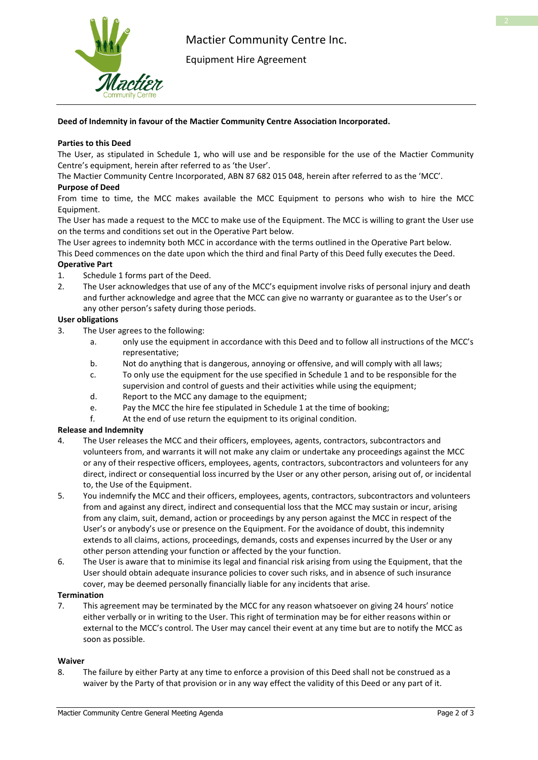

Equipment Hire Agreement

# **Deed of Indemnity in favour of the Mactier Community Centre Association Incorporated.**

# **Parties to this Deed**

The User, as stipulated in Schedule 1, who will use and be responsible for the use of the Mactier Community Centre's equipment, herein after referred to as 'the User'.

The Mactier Community Centre Incorporated, ABN 87 682 015 048, herein after referred to as the 'MCC'.

# **Purpose of Deed**

From time to time, the MCC makes available the MCC Equipment to persons who wish to hire the MCC Equipment.

The User has made a request to the MCC to make use of the Equipment. The MCC is willing to grant the User use on the terms and conditions set out in the Operative Part below.

The User agrees to indemnity both MCC in accordance with the terms outlined in the Operative Part below. This Deed commences on the date upon which the third and final Party of this Deed fully executes the Deed.

#### **Operative Part**

- 1. Schedule 1 forms part of the Deed.
- 2. The User acknowledges that use of any of the MCC's equipment involve risks of personal injury and death and further acknowledge and agree that the MCC can give no warranty or guarantee as to the User's or any other person's safety during those periods.

# **User obligations**

- 3. The User agrees to the following:
	- a. only use the equipment in accordance with this Deed and to follow all instructions of the MCC's representative;
	- b. Not do anything that is dangerous, annoying or offensive, and will comply with all laws;
	- c. To only use the equipment for the use specified in Schedule 1 and to be responsible for the supervision and control of guests and their activities while using the equipment;
	- d. Report to the MCC any damage to the equipment;
	- e. Pay the MCC the hire fee stipulated in Schedule 1 at the time of booking;
	- f. At the end of use return the equipment to its original condition.

#### **Release and Indemnity**

- 4. The User releases the MCC and their officers, employees, agents, contractors, subcontractors and volunteers from, and warrants it will not make any claim or undertake any proceedings against the MCC or any of their respective officers, employees, agents, contractors, subcontractors and volunteers for any direct, indirect or consequential loss incurred by the User or any other person, arising out of, or incidental to, the Use of the Equipment.
- 5. You indemnify the MCC and their officers, employees, agents, contractors, subcontractors and volunteers from and against any direct, indirect and consequential loss that the MCC may sustain or incur, arising from any claim, suit, demand, action or proceedings by any person against the MCC in respect of the User's or anybody's use or presence on the Equipment. For the avoidance of doubt, this indemnity extends to all claims, actions, proceedings, demands, costs and expenses incurred by the User or any other person attending your function or affected by the your function.
- 6. The User is aware that to minimise its legal and financial risk arising from using the Equipment, that the User should obtain adequate insurance policies to cover such risks, and in absence of such insurance cover, may be deemed personally financially liable for any incidents that arise.

# **Termination**

7. This agreement may be terminated by the MCC for any reason whatsoever on giving 24 hours' notice either verbally or in writing to the User. This right of termination may be for either reasons within or external to the MCC's control. The User may cancel their event at any time but are to notify the MCC as soon as possible.

#### **Waiver**

8. The failure by either Party at any time to enforce a provision of this Deed shall not be construed as a waiver by the Party of that provision or in any way effect the validity of this Deed or any part of it.